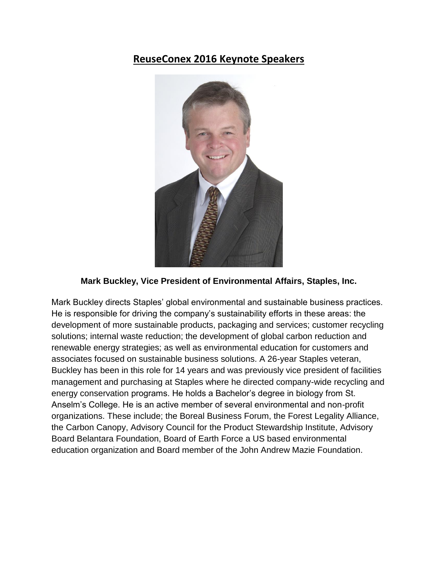## **ReuseConex 2016 Keynote Speakers**



## **Mark Buckley, Vice President of Environmental Affairs, Staples, Inc.**

Mark Buckley directs Staples' global environmental and sustainable business practices. He is responsible for driving the company's sustainability efforts in these areas: the development of more sustainable products, packaging and services; customer recycling solutions; internal waste reduction; the development of global carbon reduction and renewable energy strategies; as well as environmental education for customers and associates focused on sustainable business solutions. A 26-year Staples veteran, Buckley has been in this role for 14 years and was previously vice president of facilities management and purchasing at Staples where he directed company-wide recycling and energy conservation programs. He holds a Bachelor's degree in biology from St. Anselm's College. He is an active member of several environmental and non-profit organizations. These include; the Boreal Business Forum, the Forest Legality Alliance, the Carbon Canopy, Advisory Council for the Product Stewardship Institute, Advisory Board Belantara Foundation, Board of Earth Force a US based environmental education organization and Board member of the John Andrew Mazie Foundation.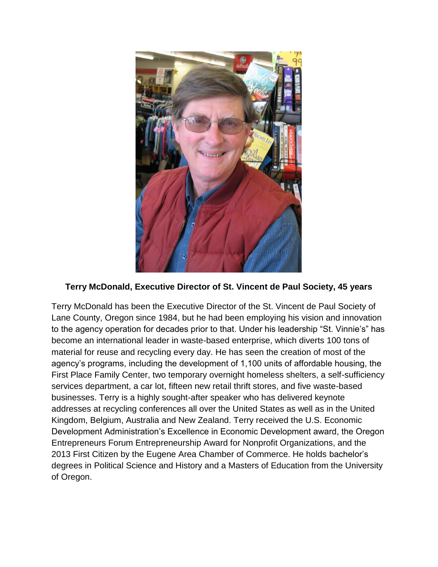

## **Terry McDonald, Executive Director of St. Vincent de Paul Society, 45 years**

Terry McDonald has been the Executive Director of the St. Vincent de Paul Society of Lane County, Oregon since 1984, but he had been employing his vision and innovation to the agency operation for decades prior to that. Under his leadership "St. Vinnie's" has become an international leader in waste-based enterprise, which diverts 100 tons of material for reuse and recycling every day. He has seen the creation of most of the agency's programs, including the development of 1,100 units of affordable housing, the First Place Family Center, two temporary overnight homeless shelters, a self-sufficiency services department, a car lot, fifteen new retail thrift stores, and five waste-based businesses. Terry is a highly sought-after speaker who has delivered keynote addresses at recycling conferences all over the United States as well as in the United Kingdom, Belgium, Australia and New Zealand. Terry received the U.S. Economic Development Administration's Excellence in Economic Development award, the Oregon Entrepreneurs Forum Entrepreneurship Award for Nonprofit Organizations, and the 2013 First Citizen by the Eugene Area Chamber of Commerce. He holds bachelor's degrees in Political Science and History and a Masters of Education from the University of Oregon.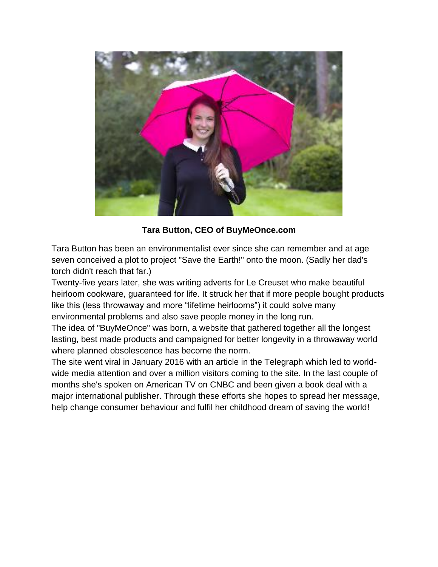

**Tara Button, CEO of BuyMeOnce.com**

Tara Button has been an environmentalist ever since she can remember and at age seven conceived a plot to project "Save the Earth!" onto the moon. (Sadly her dad's torch didn't reach that far.)

Twenty-five years later, she was writing adverts for Le Creuset who make beautiful heirloom cookware, guaranteed for life. It struck her that if more people bought products like this (less throwaway and more "lifetime heirlooms") it could solve many environmental problems and also save people money in the long run.

The idea of "BuyMeOnce" was born, a website that gathered together all the longest lasting, best made products and campaigned for better longevity in a throwaway world where planned obsolescence has become the norm.

The site went viral in January 2016 with an article in the Telegraph which led to worldwide media attention and over a million visitors coming to the site. In the last couple of months she's spoken on American TV on CNBC and been given a book deal with a major international publisher. Through these efforts she hopes to spread her message, help change consumer behaviour and fulfil her childhood dream of saving the world!